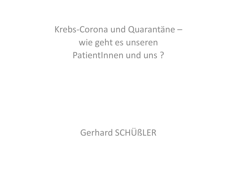Krebs-Corona und Quarantäne – wie geht es unseren PatientInnen und uns?

Gerhard SCHÜßLER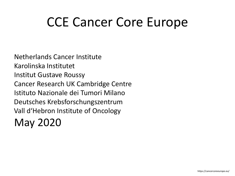## CCE Cancer Core Europe

Netherlands Cancer Institute Karolinska Institutet Institut Gustave Roussy Cancer Research UK Cambridge Centre Istituto Nazionale dei Tumori Milano Deutsches Krebsforschungszentrum Vall d'Hebron Institute of Oncology May 2020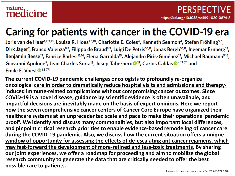#### nature. medicine

## Caring for patients with cancer in the COVID-19 era

Joris van de Haar<sup>1,2,3,18</sup>, Louisa R. Hoes<sup>1,3,18</sup>, Charlotte E. Coles<sup>4</sup>, Kenneth Seamon<sup>4</sup>, Stefan Fröhling<sup>5,6</sup>, Dirk Jäger<sup>7</sup>, Franco Valenza<sup>8,9</sup>, Filippo de Braud<sup>8,9</sup>, Luigi De Petris<sup>10,11</sup>, Jonas Bergh<sup>10,11</sup>, Ingemar Ernberg<sup>12</sup>, Benjamin Besse<sup>13</sup>, Fabrice Barlesi<sup>13,14</sup>, Elena Garralda<sup>15</sup>, Alejandro Piris-Giménez<sup>15</sup>, Michael Baumann<sup>5,16</sup>, Giovanni Apolone<sup>9</sup>, Jean Charles Soria<sup>13</sup>, Josep Tabernero<sup>15</sup>, Carlos Caldas<sup>14,17</sub> $\boxtimes$  and</sup> Emile E. Voest  $\mathbf{D}^{1,3}$ 

**The current COVID-19 pandemic challenges oncologists to profoundly re-organize oncological care in order to dramatically reduce hospital visits and admissions and therapyinduced immune-related complications without compromising cancer outcomes. Since COVID-19 is a novel disease, guidance by scientific evidence is often unavailable, and impactful decisions are inevitably made on the basis of expert opinions. Here we report how the seven comprehensive cancer centers of Cancer Core Europe have organized their healthcare systems at an unprecedented scale and pace to make their operations 'pandemic proof'. We identify and discuss many commonalities, but also important local differences, and pinpoint critical research priorities to enable evidence-based remodeling of cancer care during the COVID-19 pandemic. Also, we discuss how the current situation offers a unique window of opportunity for assessing the effects of de-escalating anticancer regimens, which may fast-forward the development of more-refined and less-toxic treatments. By sharing our joint experiences, we offer a roadmap for proceeding and aim to mobilize the global research community to generate the data that are critically needed to offer the best possible care to patients.**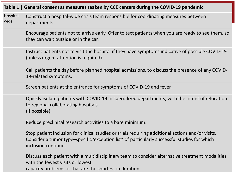| Table 1   General consensus measures teaken by CCE centers during the COVID-19 pandemic |                                                                                                                                                                                                                           |  |  |
|-----------------------------------------------------------------------------------------|---------------------------------------------------------------------------------------------------------------------------------------------------------------------------------------------------------------------------|--|--|
| Hospital<br>wide                                                                        | Construct a hospital-wide crisis team responsible for coordinating measures between<br>departments.                                                                                                                       |  |  |
|                                                                                         | Encourage patients not to arrive early. Offer to text patients when you are ready to see them, so<br>they can wait outside or in the car.                                                                                 |  |  |
|                                                                                         | Instruct patients not to visit the hospital if they have symptoms indicative of possible COVID-19<br>(unless urgent attention is required).                                                                               |  |  |
|                                                                                         | Call patients the day before planned hospital admissions, to discuss the presence of any COVID-<br>19-related symptoms.                                                                                                   |  |  |
|                                                                                         | Screen patients at the entrance for symptoms of COVID-19 and fever.                                                                                                                                                       |  |  |
|                                                                                         | Quickly isolate patients with COVID-19 in specialized departments, with the intent of relocation<br>to regional collaborating hospitals<br>(if possible).                                                                 |  |  |
|                                                                                         | Reduce preclinical research activities to a bare minimum.                                                                                                                                                                 |  |  |
|                                                                                         | Stop patient inclusion for clinical studies or trials requiring additional actions and/or visits.<br>Consider a tumor type-specific 'exception list' of particularly successful studies for which<br>inclusion continues. |  |  |
|                                                                                         | Discuss each patient with a multidisciplinary team to consider alternative treatment modalities<br>with the fewest visits or lowest<br>capacity problems or that are the shortest in duration.                            |  |  |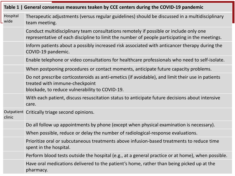| Table 1   General consensus measures teaken by CCE centers during the COVID-19 pandemic |                                                                                                                                                                                         |  |  |  |
|-----------------------------------------------------------------------------------------|-----------------------------------------------------------------------------------------------------------------------------------------------------------------------------------------|--|--|--|
| Hospital<br>wide                                                                        | Therapeutic adjustments (versus regular guidelines) should be discussed in a multidisciplinary<br>team meeting.                                                                         |  |  |  |
|                                                                                         | Conduct multidisciplinary team consultations remotely if possible or include only one<br>representative of each discipline to limit the number of people participating in the meetings. |  |  |  |
|                                                                                         | Inform patients about a possibly increased risk associated with anticancer therapy during the<br>COVID-19 pandemic.                                                                     |  |  |  |
|                                                                                         | Enable telephone or video consultations for healthcare professionals who need to self-isolate.                                                                                          |  |  |  |
|                                                                                         | When postponing procedures or contact moments, anticipate future capacity problems.                                                                                                     |  |  |  |
|                                                                                         | Do not prescribe corticosteroids as anti-emetics (if avoidable), and limit their use in patients<br>treated with immune-checkpoint<br>blockade, to reduce vulnerability to COVID-19.    |  |  |  |
|                                                                                         | With each patient, discuss resuscitation status to anticipate future decisions about intensive<br>care.                                                                                 |  |  |  |
| clinic                                                                                  | Outpatient Critically triage second opinions.                                                                                                                                           |  |  |  |
|                                                                                         | Do all follow up appointments by phone (except when physical examination is necessary).                                                                                                 |  |  |  |
|                                                                                         | When possible, reduce or delay the number of radiological-response evaluations.                                                                                                         |  |  |  |
|                                                                                         | Prioritize oral or subcutaneous treatments above infusion-based treatments to reduce time<br>spent in the hospital.                                                                     |  |  |  |
|                                                                                         | Perform blood tests outside the hospital (e.g., at a general practice or at home), when possible.                                                                                       |  |  |  |
|                                                                                         | Have oral medications delivered to the patient's home, rather than being picked up at the<br>pharmacy.                                                                                  |  |  |  |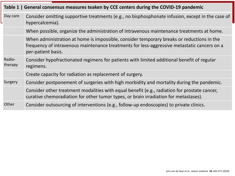| Table 1   General consensus measures teaken by CCE centers during the COVID-19 pandemic |                                                                                                                                                                                                                |  |  |  |
|-----------------------------------------------------------------------------------------|----------------------------------------------------------------------------------------------------------------------------------------------------------------------------------------------------------------|--|--|--|
| Day care                                                                                | Consider omitting supportive treatments (e.g., no bisphosphonate infusion, except in the case of<br>hypercalcemia).                                                                                            |  |  |  |
|                                                                                         | When possible, organize the administration of intravenous maintenance treatments at home.                                                                                                                      |  |  |  |
|                                                                                         | When administration at home is impossible, consider temporary breaks or reductions in the<br>frequency of intravenous maintenance treatments for less-aggressive metastatic cancers on a<br>per-patient basis. |  |  |  |
| Radio-<br>therapy                                                                       | Consider hypofractionated regimens for patients with limited additional benefit of regular<br>regimens.                                                                                                        |  |  |  |
|                                                                                         | Create capacity for radiation as replacement of surgery.                                                                                                                                                       |  |  |  |
| Surgery                                                                                 | Consider postponement of surgeries with high morbidity and mortality during the pandemic.                                                                                                                      |  |  |  |
|                                                                                         | Consider other treatment modalities with equal benefit (e.g., radiation for prostate cancer,<br>curative chemoradiation for other tumor types, or brain irradiation for metastases).                           |  |  |  |
| Other                                                                                   | Consider outsourcing of interventions (e.g., follow-up endoscopies) to private clinics.                                                                                                                        |  |  |  |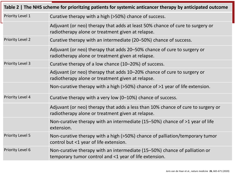| Table 2   The NHS scheme for prioritzing patients for systemic anticancer therapy by anticipated outcome |                                                                                                                                       |  |  |  |  |
|----------------------------------------------------------------------------------------------------------|---------------------------------------------------------------------------------------------------------------------------------------|--|--|--|--|
| Priority Level 1                                                                                         | Curative therapy with a high (>50%) chance of success.                                                                                |  |  |  |  |
|                                                                                                          | Adjuvant (or neo) therapy that adds at least 50% chance of cure to surgery or<br>radiotherapy alone or treatment given at relapse.    |  |  |  |  |
| <b>Priority Level 2</b>                                                                                  | Curative therapy with an intermediate (20–50%) chance of success.                                                                     |  |  |  |  |
|                                                                                                          | Adjuvant (or neo) therapy that adds 20-50% chance of cure to surgery or<br>radiotherapy alone or treatment given at relapse.          |  |  |  |  |
| <b>Priority Level 3</b>                                                                                  | Curative therapy of a low chance (10-20%) of success.                                                                                 |  |  |  |  |
|                                                                                                          | Adjuvant (or neo) therapy that adds 10-20% chance of cure to surgery or<br>radiotherapy alone or treatment given at relapse.          |  |  |  |  |
|                                                                                                          | Non-curative therapy with a high (>50%) chance of >1 year of life extension.                                                          |  |  |  |  |
| Priority Level 4                                                                                         | Curative therapy with a very low (0-10%) chance of success.                                                                           |  |  |  |  |
|                                                                                                          | Adjuvant (or neo) therapy that adds a less than 10% chance of cure to surgery or<br>radiotherapy alone or treatment given at relapse. |  |  |  |  |
|                                                                                                          | Non-curative therapy with an intermediate (15-50%) chance of >1 year of life<br>extension.                                            |  |  |  |  |
| <b>Priority Level 5</b>                                                                                  | Non-curative therapy with a high (>50%) chance of palliation/temporary tumor<br>control but <1 year of life extension.                |  |  |  |  |
| Priority Level 6                                                                                         | Non-curative therapy with an intermediate (15–50%) chance of palliation or<br>temporary tumor control and <1 year of life extension.  |  |  |  |  |

 $\overline{\phantom{a}}$ 

L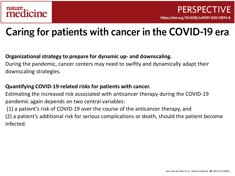## Caring for patients with cancer in the COVID-19 era

#### **Organizational strategy to prepare for dynamic up- and downscaling.**

During the pandemic, cancer centers may need to swiftly and dynamically adapt their downscaling strategies.

#### **Quantifying COVID-19-related risks for patients with cancer.**

Estimating the increased risk associated with anticancer therapy during the COVID-19 pandemic again depends on two central variables:

(1) a patient's risk of COVID-19 over the course of the anticancer therapy, and

(2) a patient's additional risk for serious complications or death, should the patient become infected.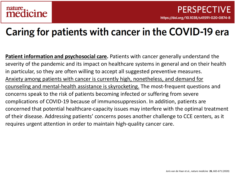### Caring for patients with cancer in the COVID-19 era

**Patient information and psychosocial care.** Patients with cancer generally understand the severity of the pandemic and its impact on healthcare systems in general and on their health in particular, so they are often willing to accept all suggested preventive measures. Anxiety among patients with cancer is currently high, nonetheless, and demand for counseling and mental-health assistance is skyrocketing. The most-frequent questions and concerns speak to the risk of patients becoming infected or suffering from severe complications of COVID-19 because of immunosuppression. In addition, patients are concerned that potential healthcare-capacity issues may interfere with the optimal treatment of their disease. Addressing patients' concerns poses another challenge to CCE centers, as it requires urgent attention in order to maintain high-quality cancer care.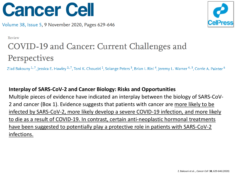



Review

### COVID-19 and Cancer: Current Challenges and Perspectives

Ziad Bakouny<sup>1,7</sup>, Jessica E. Hawley<sup>2,7</sup>, Toni K. Choueiri<sup>1</sup>, Solange Peters<sup>3</sup>, Brian I. Rini<sup>4</sup>, Jeremy L. Warner<sup>4,5</sup>, Corrie A. Painter<sup>6</sup>

#### **Interplay of SARS-CoV-2 and Cancer Biology: Risks and Opportunities**

Multiple pieces of evidence have indicated an interplay between the biology of SARS-CoV-2 and cancer (Box 1). Evidence suggests that patients with cancer are more likely to be infected by SARS-CoV-2, more likely develop a severe COVID-19 infection, and more likely to die as a result of COVID-19. In contrast, certain anti-neoplastic hormonal treatments have been suggested to potentially play a protective role in patients with SARS-CoV-2 infections.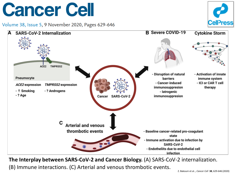





**The Interplay between SARS-CoV-2 and Cancer Biology.** (A) SARS-CoV-2 internalization.

(B) Immune interactions. (C) Arterial and venous thrombotic events.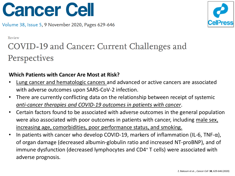



Review

### COVID-19 and Cancer: Current Challenges and Perspectives

#### **Which Patients with Cancer Are Most at Risk?**

- Lung cancer and hematologic cancers and advanced or active cancers are associated with adverse outcomes upon SARS-CoV-2 infection.
- There are currently conflicting data on the relationship between receipt of systemic *anti-cancer therapies and COVID-19 outcomes in patients with cancer*.
- Certain factors found to be associated with adverse outcomes in the general population were also associated with poor outcomes in patients with cancer, including male sex, increasing age, comorbidities, poor performance status, and smoking.
- In patients with cancer who develop COVID-19, markers of inflammation (IL-6, TNF- $\alpha$ ), of organ damage (decreased albumin-globulin ratio and increased NT-proBNP), and of immune dysfunction (decreased lymphocytes and CD4+ T cells) were associated with adverse prognosis.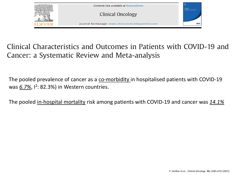

### Clinical Characteristics and Outcomes in Patients with COVID-19 and Cancer: a Systematic Review and Meta-analysis

The pooled prevalence of cancer as a co-morbidity in hospitalised patients with COVID-19 was 6.7%, <sup>2</sup>: 82.3%) in Western countries.

The pooled in-hospital mortality risk among patients with COVID-19 and cancer was *14.1%*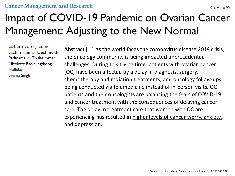#### **Cancer Management and Research**

## Impact of COVID-19 Pandemic on Ovarian Cancer Management: Adjusting to the New Normal

Lizbeth Soto Jacome Sachin Kumar Deshmukh Padmamalini Thulasiraman Nicolette Paolaungthong **Holliday** Seema Singh

**Abstract** [...] As the world faces the coronavirus disease 2019 crisis, the oncology community is being impacted unprecedented challenges. During this trying time, patients with ovarian cancer (OC) have been affected by a delay in diagnosis, surgery, chemotherapy and radiation treatments, and oncology follow-ups being conducted via telemedicine instead of in-person visits. OC patients and their oncologists are balancing the fears of COVID-19 and cancer treatment with the consequences of delaying cancer care. The delay in treatment care that women with OC are experiencing has resulted in higher levels of cancer worry, anxiety, and depression.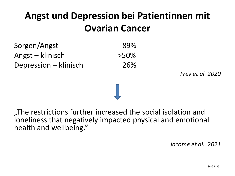### **Angst und Depression bei Patientinnen mit Ovarian Cancer**

Sorgen/Angst 89% Angst – klinisch >50% Depression – klinisch 26%

*Frey et al. 2020*

The restrictions further increased the social isolation and loneliness that negatively impacted physical and emotional health and wellbeing."

*Jacome et al. 2021*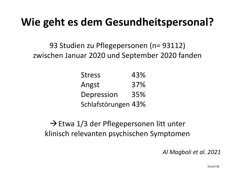## **Wie geht es dem Gesundheitspersonal?**

93 Studien zu Pflegepersonen (n= 93112) zwischen Januar 2020 und September 2020 fanden

| <b>Stress</b>       | 43% |
|---------------------|-----|
| Angst               | 37% |
| Depression          | 35% |
| Schlafstörungen 43% |     |

 $\rightarrow$  Etwa 1/3 der Pflegepersonen litt unter klinisch relevanten psychischen Symptomen

*Al Magboli et al. 2021*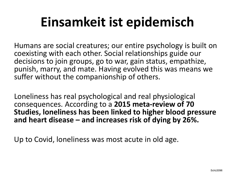# **Einsamkeit ist epidemisch**

Humans are social creatures; our entire psychology is built on coexisting with each other. Social relationships guide our decisions to join groups, go to war, gain status, empathize, punish, marry, and mate. Having evolved this was means we suffer without the companionship of others.

Loneliness has real psychological and real physiological consequences. According to a **2015 meta-review of 70 Studies, loneliness has been linked to higher blood pressure and heart disease – and increases risk of dying by 26%.**

Up to Covid, loneliness was most acute in old age.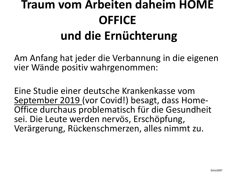## **Traum vom Arbeiten daheim HOME OFFICE und die Ernüchterung**

Am Anfang hat jeder die Verbannung in die eigenen vier Wände positiv wahrgenommen:

Eine Studie einer deutsche Krankenkasse vom September 2019 (vor Covid!) besagt, dass Home-<br>Office durchaus problematisch für die Gesundheit sei. Die Leute werden nervös, Erschöpfung, Verärgerung, Rückenschmerzen, alles nimmt zu.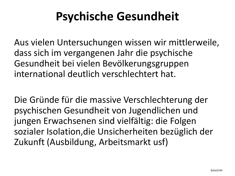## **Psychische Gesundheit**

Aus vielen Untersuchungen wissen wir mittlerweile, dass sich im vergangenen Jahr die psychische Gesundheit bei vielen Bevölkerungsgruppen international deutlich verschlechtert hat.

Die Gründe für die massive Verschlechterung der psychischen Gesundheit von Jugendlichen und jungen Erwachsenen sind vielfältig: die Folgen sozialer Isolation,die Unsicherheiten bezüglich der Zukunft (Ausbildung, Arbeitsmarkt usf)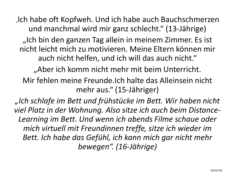"Ich habe oft Kopfweh. Und ich habe auch Bauchschmerzen und manchmal wird mir ganz schlecht." (13-Jährige)

"Ich bin den ganzen Tag allein in meinem Zimmer. Es ist nicht leicht mich zu motivieren. Meine Eltern können mir auch nicht helfen, und ich will das auch nicht."

"Aber ich komm nicht mehr mit beim Unterricht.

Mir fehlen meine Freunde.Ich halte das Alleinsein nicht mehr aus." (15-Jähriger)

*"Ich schlafe im Bett und frühstücke im Bett. Wir haben nicht viel Platz in der Wohnung. Also sitze ich auch beim Distance-Learning im Bett. Und wenn ich abends Filme schaue oder mich virtuell mit Freundinnen treffe, sitze ich wieder im Bett. Ich habe das Gefühl, ich kann mich gar nicht mehr bewegen". (16-Jährige)*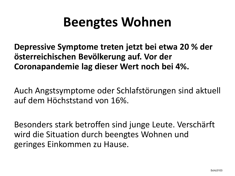## **Beengtes Wohnen**

**Depressive Symptome treten jetzt bei etwa 20 % der österreichischen Bevölkerung auf. Vor der Coronapandemie lag dieser Wert noch bei 4%.** 

Auch Angstsymptome oder Schlafstörungen sind aktuell auf dem Höchststand von 16%.

Besonders stark betroffen sind junge Leute. Verschärft wird die Situation durch beengtes Wohnen und geringes Einkommen zu Hause.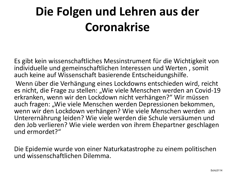## **Die Folgen und Lehren aus der Coronakrise**

Es gibt kein wissenschaftliches Messinstrument für die Wichtigkeit von individuelle und gemeinschaftlichen Interessen und Werten , somit auch keine auf Wissenschaft basierende Entscheidungshilfe.

Wenn über die Verhängung eines Lockdowns entschieden wird, reicht es nicht, die Frage zu stellen: "Wie viele Menschen werden an Covid-19 erkranken, wenn wir den Lockdown nicht verhängen?" Wir müssen auch fragen: "Wie viele Menschen werden Depressionen bekommen, wenn wir den Lockdown verhängen? Wie viele Menschen werden an Unterernährung leiden? Wie viele werden die Schule versäumen und den Job verlieren? Wie viele werden von ihrem Ehepartner geschlagen und ermordet?"

Die Epidemie wurde von einer Naturkatastrophe zu einem politischen und wissenschaftlichen Dilemma.